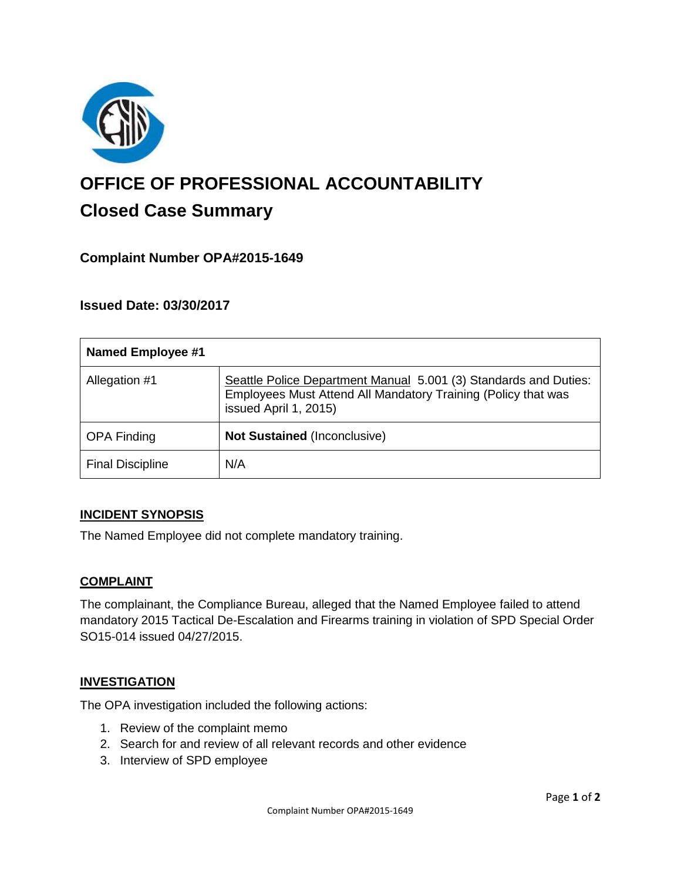

# **OFFICE OF PROFESSIONAL ACCOUNTABILITY Closed Case Summary**

# **Complaint Number OPA#2015-1649**

## **Issued Date: 03/30/2017**

| <b>Named Employee #1</b> |                                                                                                                                                            |
|--------------------------|------------------------------------------------------------------------------------------------------------------------------------------------------------|
| Allegation #1            | Seattle Police Department Manual 5.001 (3) Standards and Duties:<br>Employees Must Attend All Mandatory Training (Policy that was<br>issued April 1, 2015) |
| <b>OPA Finding</b>       | <b>Not Sustained (Inconclusive)</b>                                                                                                                        |
| <b>Final Discipline</b>  | N/A                                                                                                                                                        |

#### **INCIDENT SYNOPSIS**

The Named Employee did not complete mandatory training.

#### **COMPLAINT**

The complainant, the Compliance Bureau, alleged that the Named Employee failed to attend mandatory 2015 Tactical De-Escalation and Firearms training in violation of SPD Special Order SO15-014 issued 04/27/2015.

#### **INVESTIGATION**

The OPA investigation included the following actions:

- 1. Review of the complaint memo
- 2. Search for and review of all relevant records and other evidence
- 3. Interview of SPD employee